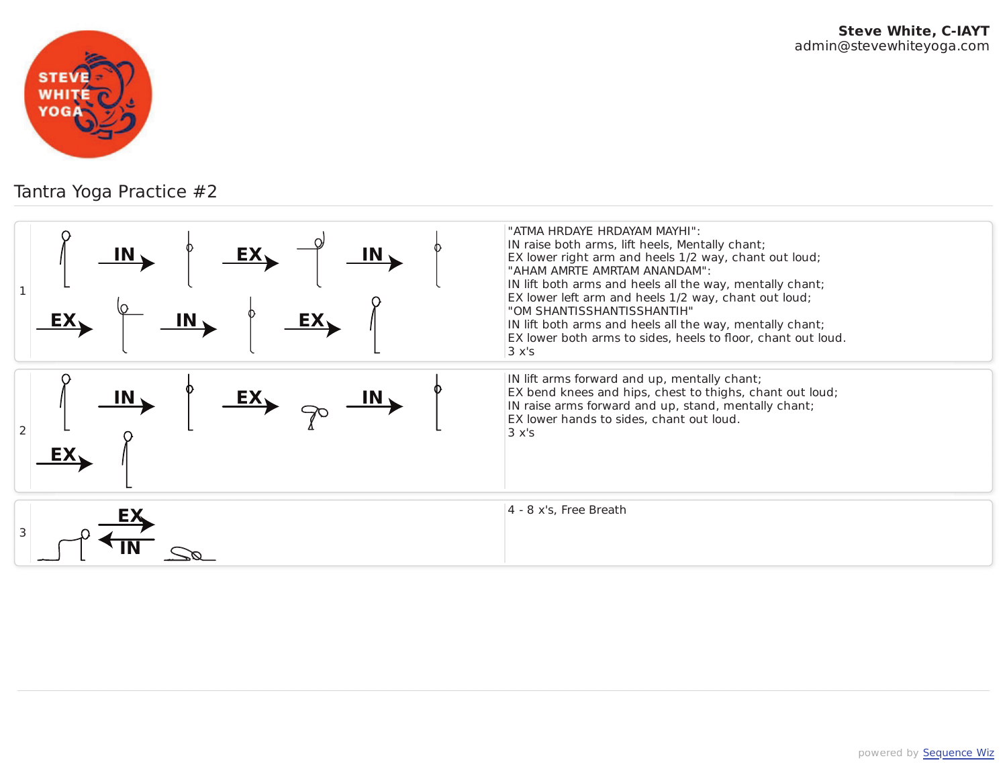

## Tantra Yoga Practice #2

| IN,<br><u>EX,</u><br>EX <sub>1</sub> | "ATMA HRDAYE HRDAYAM MAYHI":<br>IN raise both arms, lift heels, Mentally chant;<br>EX lower right arm and heels 1/2 way, chant out loud;<br>"AHAM AMRTE AMRTAM ANANDAM":<br>IN lift both arms and heels all the way, mentally chant;<br>EX lower left arm and heels 1/2 way, chant out loud;<br>"OM SHANTISSHANTISSHANTIH"<br>IN lift both arms and heels all the way, mentally chant;<br>EX lower both arms to sides, heels to floor, chant out loud.<br>3x's |
|--------------------------------------|----------------------------------------------------------------------------------------------------------------------------------------------------------------------------------------------------------------------------------------------------------------------------------------------------------------------------------------------------------------------------------------------------------------------------------------------------------------|
| $\overline{\mathbf{M}}$<br>2<br>EX   | IN lift arms forward and up, mentally chant;<br>EX bend knees and hips, chest to thighs, chant out loud;<br>IN raise arms forward and up, stand, mentally chant;<br>EX lower hands to sides, chant out loud.<br>3x's                                                                                                                                                                                                                                           |
| 3                                    | $4 - 8$ x's, Free Breath                                                                                                                                                                                                                                                                                                                                                                                                                                       |